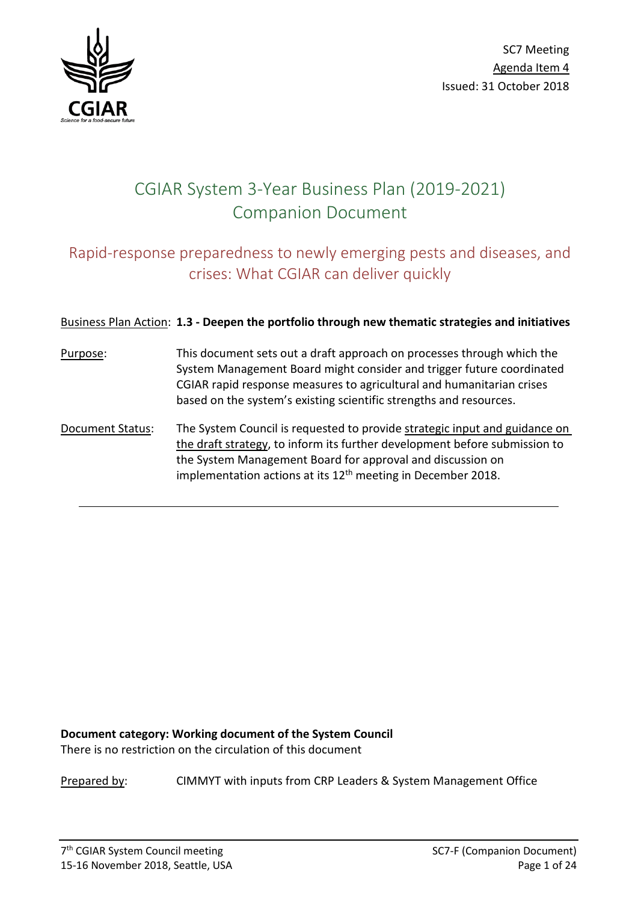

# CGIAR System 3-Year Business Plan (2019-2021) Companion Document

## Rapid-response preparedness to newly emerging pests and diseases, and crises: What CGIAR can deliver quickly

## Business Plan Action: **1.3 - Deepen the portfolio through new thematic strategies and initiatives**

- Purpose: This document sets out a draft approach on processes through which the System Management Board might consider and trigger future coordinated CGIAR rapid response measures to agricultural and humanitarian crises based on the system's existing scientific strengths and resources.
- Document Status: The System Council is requested to provide strategic input and guidance on the draft strategy, to inform its further development before submission to the System Management Board for approval and discussion on implementation actions at its  $12<sup>th</sup>$  meeting in December 2018.

**Document category: Working document of the System Council**  There is no restriction on the circulation of this document

Prepared by: CIMMYT with inputs from CRP Leaders & System Management Office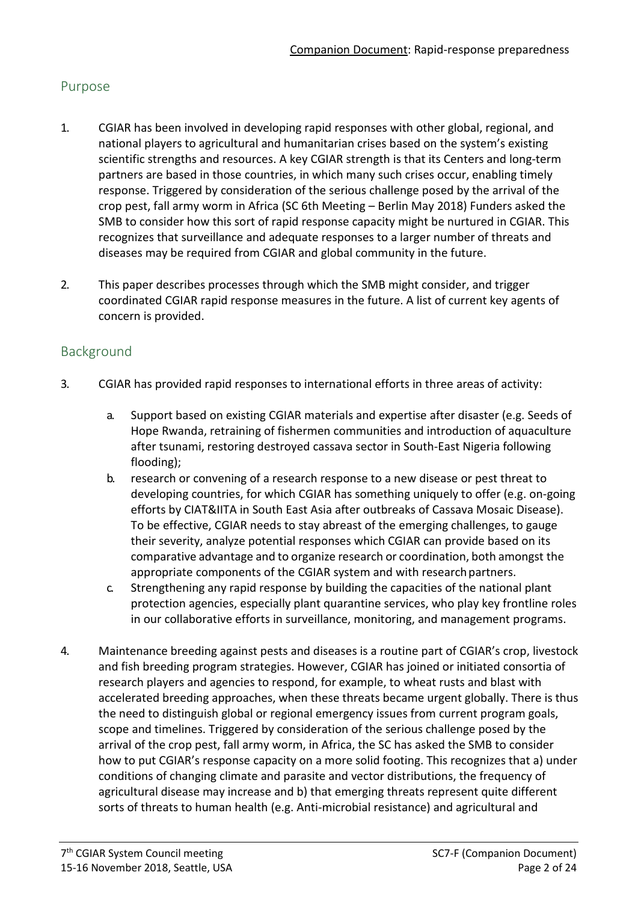## Purpose

- 1. CGIAR has been involved in developing rapid responses with other global, regional, and national players to agricultural and humanitarian crises based on the system's existing scientific strengths and resources. A key CGIAR strength is that its Centers and long-term partners are based in those countries, in which many such crises occur, enabling timely response. Triggered by consideration of the serious challenge posed by the arrival of the crop pest, fall army worm in Africa (SC 6th Meeting – Berlin May 2018) Funders asked the SMB to consider how this sort of rapid response capacity might be nurtured in CGIAR. This recognizes that surveillance and adequate responses to a larger number of threats and diseases may be required from CGIAR and global community in the future.
- 2. This paper describes processes through which the SMB might consider, and trigger coordinated CGIAR rapid response measures in the future. A list of current key agents of concern is provided.

## Background

- 3. CGIAR has provided rapid responses to international efforts in three areas of activity:
	- a. Support based on existing CGIAR materials and expertise after disaster (e.g. Seeds of Hope Rwanda, retraining of fishermen communities and introduction of aquaculture after tsunami, restoring destroyed cassava sector in South-East Nigeria following flooding);
	- b. research or convening of a research response to a new disease or pest threat to developing countries, for which CGIAR has something uniquely to offer (e.g. on-going efforts by CIAT&IITA in South East Asia after outbreaks of Cassava Mosaic Disease). To be effective, CGIAR needs to stay abreast of the emerging challenges, to gauge their severity, analyze potential responses which CGIAR can provide based on its comparative advantage and to organize research or coordination, both amongst the appropriate components of the CGIAR system and with research partners.
	- c. Strengthening any rapid response by building the capacities of the national plant protection agencies, especially plant quarantine services, who play key frontline roles in our collaborative efforts in surveillance, monitoring, and management programs.
- 4. Maintenance breeding against pests and diseases is a routine part of CGIAR's crop, livestock and fish breeding program strategies. However, CGIAR has joined or initiated consortia of research players and agencies to respond, for example, to wheat rusts and blast with accelerated breeding approaches, when these threats became urgent globally. There is thus the need to distinguish global or regional emergency issues from current program goals, scope and timelines. Triggered by consideration of the serious challenge posed by the arrival of the crop pest, fall army worm, in Africa, the SC has asked the SMB to consider how to put CGIAR's response capacity on a more solid footing. This recognizes that a) under conditions of changing climate and parasite and vector distributions, the frequency of agricultural disease may increase and b) that emerging threats represent quite different sorts of threats to human health (e.g. Anti-microbial resistance) and agricultural and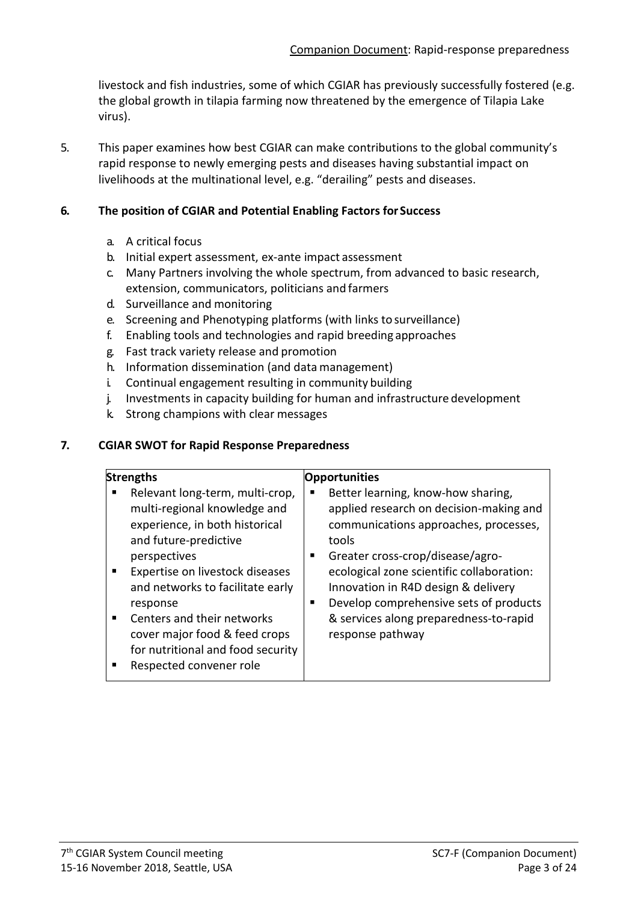livestock and fish industries, some of which CGIAR has previously successfully fostered (e.g. the global growth in tilapia farming now threatened by the emergence of Tilapia Lake virus).

5. This paper examines how best CGIAR can make contributions to the global community's rapid response to newly emerging pests and diseases having substantial impact on livelihoods at the multinational level, e.g. "derailing" pests and diseases.

#### **6. The position of CGIAR and Potential Enabling Factors for Success**

- a. A critical focus
- b. Initial expert assessment, ex-ante impact assessment
- c. Many Partners involving the whole spectrum, from advanced to basic research, extension, communicators, politicians and farmers
- d. Surveillance and monitoring
- e. Screening and Phenotyping platforms (with links to surveillance)
- f. Enabling tools and technologies and rapid breeding approaches
- g. Fast track variety release and promotion
- h. Information dissemination (and data management)
- i. Continual engagement resulting in community building
- j. Investments in capacity building for human and infrastructure development
- k. Strong champions with clear messages

#### **7. CGIAR SWOT for Rapid Response Preparedness**

| <b>Strengths</b>                                                                                                                                                                                                                                                                                                                                             |   | <b>Opportunities</b>                                                                                                                                                                                                                                                                                                                                            |
|--------------------------------------------------------------------------------------------------------------------------------------------------------------------------------------------------------------------------------------------------------------------------------------------------------------------------------------------------------------|---|-----------------------------------------------------------------------------------------------------------------------------------------------------------------------------------------------------------------------------------------------------------------------------------------------------------------------------------------------------------------|
| Relevant long-term, multi-crop,<br>multi-regional knowledge and<br>experience, in both historical<br>and future-predictive<br>perspectives<br>Expertise on livestock diseases<br>and networks to facilitate early<br>response<br>Centers and their networks<br>cover major food & feed crops<br>for nutritional and food security<br>Respected convener role | ш | Better learning, know-how sharing,<br>applied research on decision-making and<br>communications approaches, processes,<br>tools<br>Greater cross-crop/disease/agro-<br>ecological zone scientific collaboration:<br>Innovation in R4D design & delivery<br>Develop comprehensive sets of products<br>& services along preparedness-to-rapid<br>response pathway |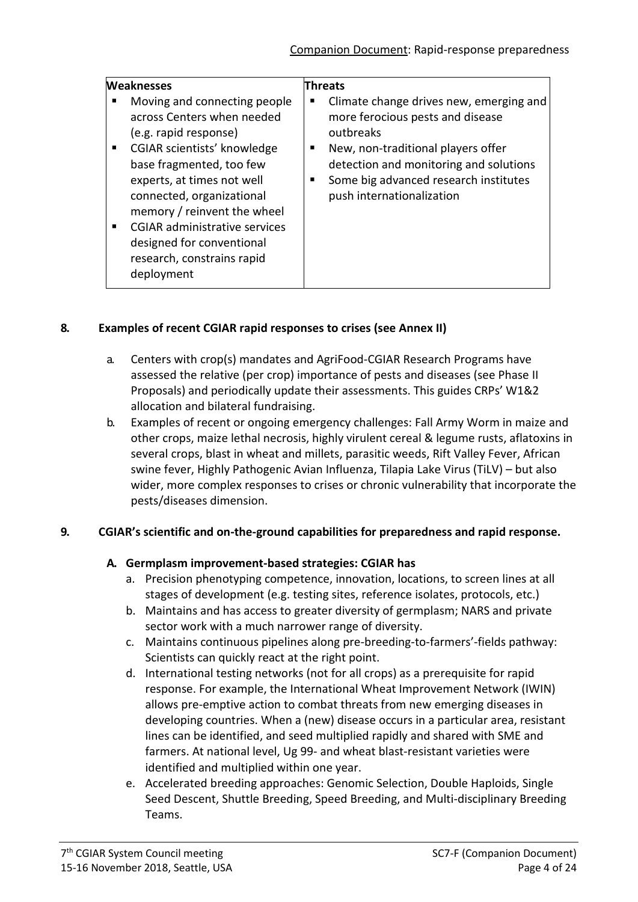| <b>Weaknesses</b>                                                                                                                                                                                                                                                                                                                                                           | Threats                                                                                                                                                                                                                                        |
|-----------------------------------------------------------------------------------------------------------------------------------------------------------------------------------------------------------------------------------------------------------------------------------------------------------------------------------------------------------------------------|------------------------------------------------------------------------------------------------------------------------------------------------------------------------------------------------------------------------------------------------|
| Moving and connecting people<br>across Centers when needed<br>(e.g. rapid response)<br>CGIAR scientists' knowledge<br>$\blacksquare$<br>base fragmented, too few<br>experts, at times not well<br>connected, organizational<br>memory / reinvent the wheel<br><b>CGIAR administrative services</b><br>designed for conventional<br>research, constrains rapid<br>deployment | Climate change drives new, emerging and<br>more ferocious pests and disease<br>outbreaks<br>New, non-traditional players offer<br>detection and monitoring and solutions<br>Some big advanced research institutes<br>push internationalization |

#### **8. Examples of recent CGIAR rapid responses to crises (see Annex II)**

- a. Centers with crop(s) mandates and AgriFood-CGIAR Research Programs have assessed the relative (per crop) importance of pests and diseases (see Phase II Proposals) and periodically update their assessments. This guides CRPs' W1&2 allocation and bilateral fundraising.
- b. Examples of recent or ongoing emergency challenges: Fall Army Worm in maize and other crops, maize lethal necrosis, highly virulent cereal & legume rusts, aflatoxins in several crops, blast in wheat and millets, parasitic weeds, Rift Valley Fever, African swine fever, Highly Pathogenic Avian Influenza, Tilapia Lake Virus (TiLV) – but also wider, more complex responses to crises or chronic vulnerability that incorporate the pests/diseases dimension.

#### **9. CGIAR's scientific and on-the-ground capabilities for preparedness and rapid response.**

## **A. Germplasm improvement-based strategies: CGIAR has**

- a. Precision phenotyping competence, innovation, locations, to screen lines at all stages of development (e.g. testing sites, reference isolates, protocols, etc.)
- b. Maintains and has access to greater diversity of germplasm; NARS and private sector work with a much narrower range of diversity.
- c. Maintains continuous pipelines along pre-breeding-to-farmers'-fields pathway: Scientists can quickly react at the right point.
- d. International testing networks (not for all crops) as a prerequisite for rapid response. For example, the International Wheat Improvement Network (IWIN) allows pre-emptive action to combat threats from new emerging diseases in developing countries. When a (new) disease occurs in a particular area, resistant lines can be identified, and seed multiplied rapidly and shared with SME and farmers. At national level, Ug 99- and wheat blast-resistant varieties were identified and multiplied within one year.
- e. Accelerated breeding approaches: Genomic Selection, Double Haploids, Single Seed Descent, Shuttle Breeding, Speed Breeding, and Multi-disciplinary Breeding Teams.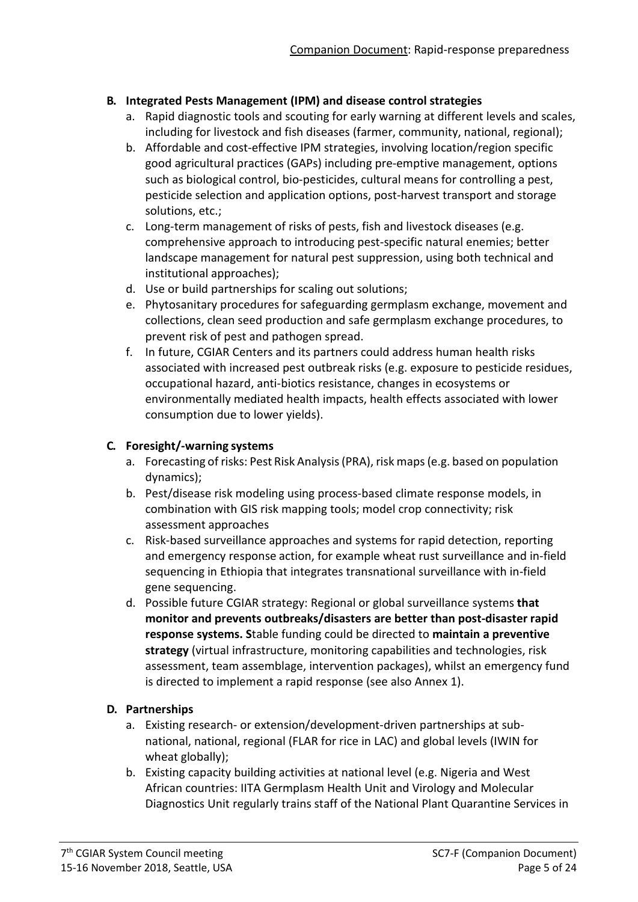#### **B. Integrated Pests Management (IPM) and disease control strategies**

- a. Rapid diagnostic tools and scouting for early warning at different levels and scales, including for livestock and fish diseases (farmer, community, national, regional);
- b. Affordable and cost-effective IPM strategies, involving location/region specific good agricultural practices (GAPs) including pre-emptive management, options such as biological control, bio-pesticides, cultural means for controlling a pest, pesticide selection and application options, post-harvest transport and storage solutions, etc.;
- c. Long-term management of risks of pests, fish and livestock diseases (e.g. comprehensive approach to introducing pest-specific natural enemies; better landscape management for natural pest suppression, using both technical and institutional approaches);
- d. Use or build partnerships for scaling out solutions;
- e. Phytosanitary procedures for safeguarding germplasm exchange, movement and collections, clean seed production and safe germplasm exchange procedures, to prevent risk of pest and pathogen spread.
- f. In future, CGIAR Centers and its partners could address human health risks associated with increased pest outbreak risks (e.g. exposure to pesticide residues, occupational hazard, anti-biotics resistance, changes in ecosystems or environmentally mediated health impacts, health effects associated with lower consumption due to lower yields).

## **C. Foresight/-warning systems**

- a. Forecasting of risks: Pest Risk Analysis(PRA), risk maps(e.g. based on population dynamics);
- b. Pest/disease risk modeling using process-based climate response models, in combination with GIS risk mapping tools; model crop connectivity; risk assessment approaches
- c. Risk-based surveillance approaches and systems for rapid detection, reporting and emergency response action, for example wheat rust surveillance and in-field sequencing in Ethiopia that integrates transnational surveillance with in-field gene sequencing.
- d. Possible future CGIAR strategy: Regional or global surveillance systems **that monitor and prevents outbreaks/disasters are better than post-disaster rapid response systems. S**table funding could be directed to **maintain a preventive strategy** (virtual infrastructure, monitoring capabilities and technologies, risk assessment, team assemblage, intervention packages), whilst an emergency fund is directed to implement a rapid response (see also Annex 1).

## **D. Partnerships**

- a. Existing research- or extension/development-driven partnerships at subnational, national, regional (FLAR for rice in LAC) and global levels (IWIN for wheat globally);
- b. Existing capacity building activities at national level (e.g. Nigeria and West African countries: IITA Germplasm Health Unit and Virology and Molecular Diagnostics Unit regularly trains staff of the National Plant Quarantine Services in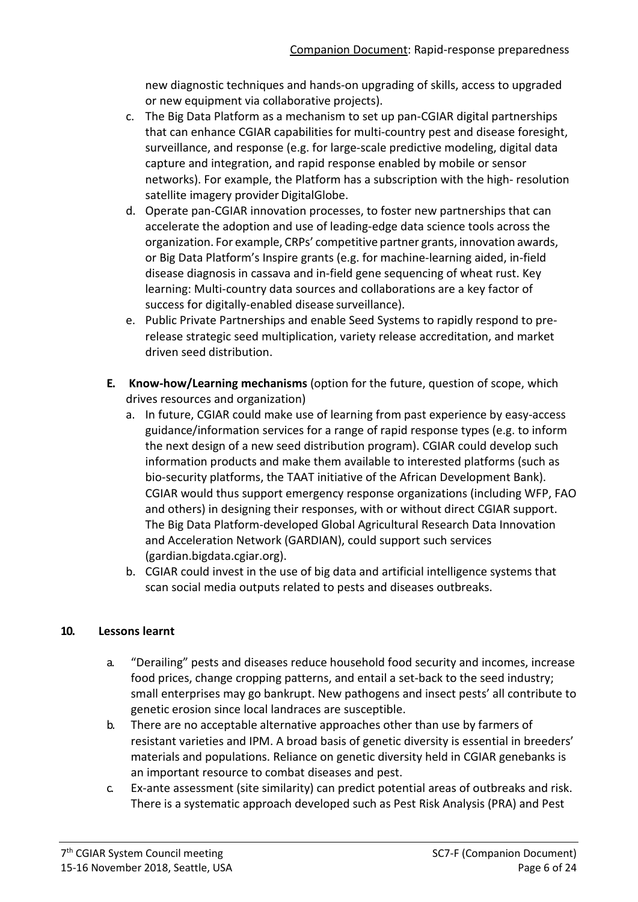new diagnostic techniques and hands-on upgrading of skills, access to upgraded or new equipment via collaborative projects).

- c. The Big Data Platform as a mechanism to set up pan-CGIAR digital partnerships that can enhance CGIAR capabilities for multi-country pest and disease foresight, surveillance, and response (e.g. for large-scale predictive modeling, digital data capture and integration, and rapid response enabled by mobile or sensor networks). For example, the Platform has a subscription with the high- resolution satellite imagery provider DigitalGlobe.
- d. Operate pan-CGIAR innovation processes, to foster new partnerships that can accelerate the adoption and use of leading-edge data science tools across the organization. For example, CRPs' competitive partner grants, innovation awards, or Big Data Platform's Inspire grants (e.g. for machine-learning aided, in-field disease diagnosis in cassava and in-field gene sequencing of wheat rust. Key learning: Multi-country data sources and collaborations are a key factor of success for digitally-enabled disease surveillance).
- e. Public Private Partnerships and enable Seed Systems to rapidly respond to prerelease strategic seed multiplication, variety release accreditation, and market driven seed distribution.
- **E. Know-how/Learning mechanisms** (option for the future, question of scope, which drives resources and organization)
	- a. In future, CGIAR could make use of learning from past experience by easy-access guidance/information services for a range of rapid response types (e.g. to inform the next design of a new seed distribution program). CGIAR could develop such information products and make them available to interested platforms (such as bio-security platforms, the TAAT initiative of the African Development Bank). CGIAR would thus support emergency response organizations (including WFP, FAO and others) in designing their responses, with or without direct CGIAR support. The Big Data Platform-developed Global Agricultural Research Data Innovation and Acceleration Network (GARDIAN), could support such services (gardian.bigdata.cgiar.org).
	- b. CGIAR could invest in the use of big data and artificial intelligence systems that scan social media outputs related to pests and diseases outbreaks.

## **10. Lessons learnt**

- a. "Derailing" pests and diseases reduce household food security and incomes, increase food prices, change cropping patterns, and entail a set-back to the seed industry; small enterprises may go bankrupt. New pathogens and insect pests' all contribute to genetic erosion since local landraces are susceptible.
- b. There are no acceptable alternative approaches other than use by farmers of resistant varieties and IPM. A broad basis of genetic diversity is essential in breeders' materials and populations. Reliance on genetic diversity held in CGIAR genebanks is an important resource to combat diseases and pest.
- c. Ex-ante assessment (site similarity) can predict potential areas of outbreaks and risk. There is a systematic approach developed such as Pest Risk Analysis (PRA) and Pest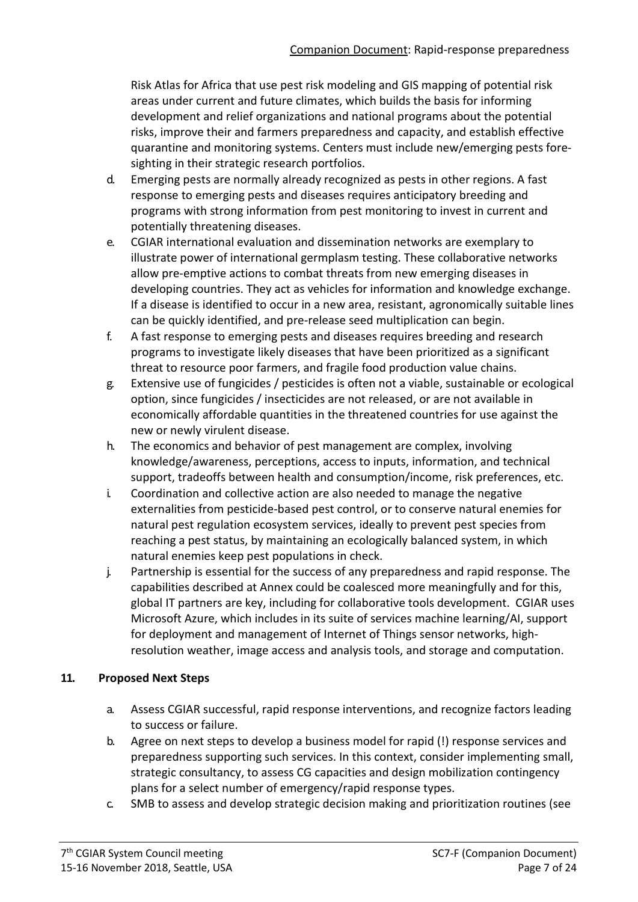Risk Atlas for Africa that use pest risk modeling and GIS mapping of potential risk areas under current and future climates, which builds the basis for informing development and relief organizations and national programs about the potential risks, improve their and farmers preparedness and capacity, and establish effective quarantine and monitoring systems. Centers must include new/emerging pests foresighting in their strategic research portfolios.

- d. Emerging pests are normally already recognized as pests in other regions. A fast response to emerging pests and diseases requires anticipatory breeding and programs with strong information from pest monitoring to invest in current and potentially threatening diseases.
- e. CGIAR international evaluation and dissemination networks are exemplary to illustrate power of international germplasm testing. These collaborative networks allow pre-emptive actions to combat threats from new emerging diseases in developing countries. They act as vehicles for information and knowledge exchange. If a disease is identified to occur in a new area, resistant, agronomically suitable lines can be quickly identified, and pre-release seed multiplication can begin.
- f. A fast response to emerging pests and diseases requires breeding and research programs to investigate likely diseases that have been prioritized as a significant threat to resource poor farmers, and fragile food production value chains.
- g. Extensive use of fungicides / pesticides is often not a viable, sustainable or ecological option, since fungicides / insecticides are not released, or are not available in economically affordable quantities in the threatened countries for use against the new or newly virulent disease.
- h. The economics and behavior of pest management are complex, involving knowledge/awareness, perceptions, access to inputs, information, and technical support, tradeoffs between health and consumption/income, risk preferences, etc.
- i. Coordination and collective action are also needed to manage the negative externalities from pesticide-based pest control, or to conserve natural enemies for natural pest regulation ecosystem services, ideally to prevent pest species from reaching a pest status, by maintaining an ecologically balanced system, in which natural enemies keep pest populations in check.
- j. Partnership is essential for the success of any preparedness and rapid response. The capabilities described at Annex could be coalesced more meaningfully and for this, global IT partners are key, including for collaborative tools development. CGIAR uses Microsoft Azure, which includes in its suite of services machine learning/AI, support for deployment and management of Internet of Things sensor networks, highresolution weather, image access and analysis tools, and storage and computation.

#### **11. Proposed Next Steps**

- a. Assess CGIAR successful, rapid response interventions, and recognize factors leading to success or failure.
- b. Agree on next steps to develop a business model for rapid (!) response services and preparedness supporting such services. In this context, consider implementing small, strategic consultancy, to assess CG capacities and design mobilization contingency plans for a select number of emergency/rapid response types.
- c. SMB to assess and develop strategic decision making and prioritization routines (see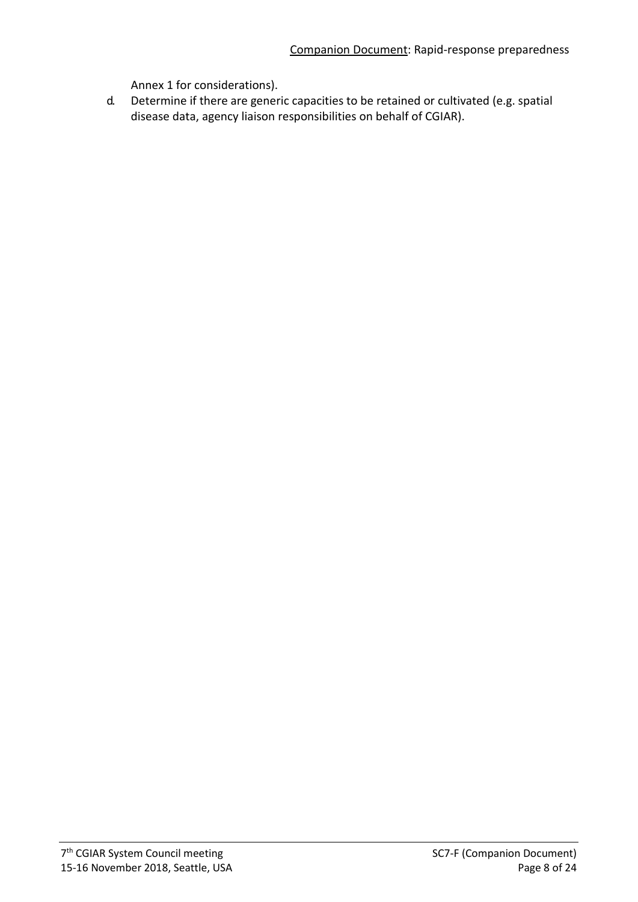Annex 1 for considerations).

d. Determine if there are generic capacities to be retained or cultivated (e.g. spatial disease data, agency liaison responsibilities on behalf of CGIAR).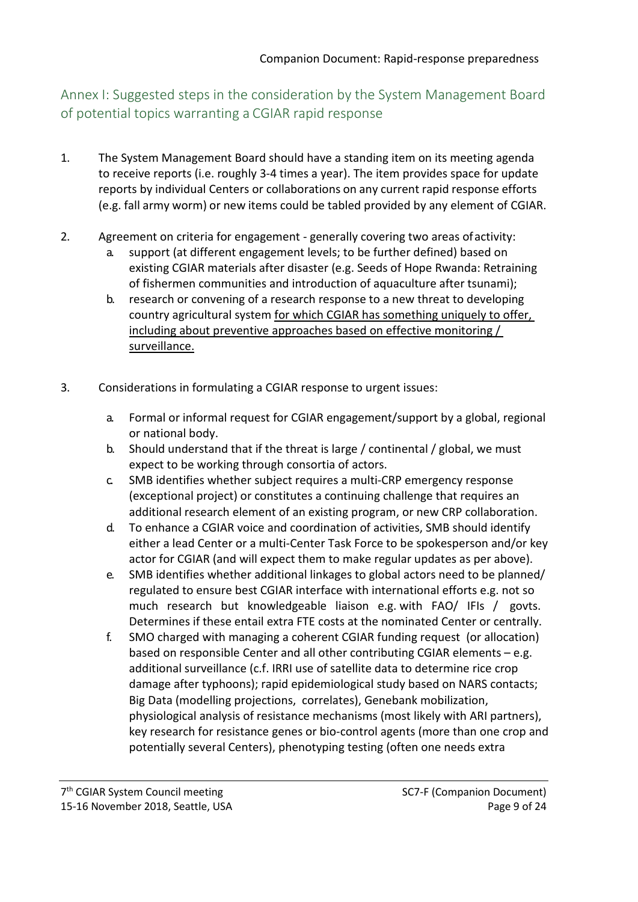Annex I: Suggested steps in the consideration by the System Management Board of potential topics warranting a CGIAR rapid response

- 1. The System Management Board should have a standing item on its meeting agenda to receive reports (i.e. roughly 3-4 times a year). The item provides space for update reports by individual Centers or collaborations on any current rapid response efforts (e.g. fall army worm) or new items could be tabled provided by any element of CGIAR.
- 2. Agreement on criteria for engagement generally covering two areas ofactivity:
	- a. support (at different engagement levels; to be further defined) based on existing CGIAR materials after disaster (e.g. Seeds of Hope Rwanda: Retraining of fishermen communities and introduction of aquaculture after tsunami);
	- b. research or convening of a research response to a new threat to developing country agricultural system for which CGIAR has something uniquely to offer, including about preventive approaches based on effective monitoring / surveillance.
- 3. Considerations in formulating a CGIAR response to urgent issues:
	- a. Formal or informal request for CGIAR engagement/support by a global, regional or national body.
	- b. Should understand that if the threat is large / continental / global, we must expect to be working through consortia of actors.
	- c. SMB identifies whether subject requires a multi-CRP emergency response (exceptional project) or constitutes a continuing challenge that requires an additional research element of an existing program, or new CRP collaboration.
	- d. To enhance a CGIAR voice and coordination of activities, SMB should identify either a lead Center or a multi-Center Task Force to be spokesperson and/or key actor for CGIAR (and will expect them to make regular updates as per above).
	- e. SMB identifies whether additional linkages to global actors need to be planned/ regulated to ensure best CGIAR interface with international efforts e.g. not so much research but knowledgeable liaison e.g. with FAO/ IFIs / govts. Determines if these entail extra FTE costs at the nominated Center or centrally.
	- f. SMO charged with managing a coherent CGIAR funding request (or allocation) based on responsible Center and all other contributing CGIAR elements – e.g. additional surveillance (c.f. IRRI use of satellite data to determine rice crop damage after typhoons); rapid epidemiological study based on NARS contacts; Big Data (modelling projections, correlates), Genebank mobilization, physiological analysis of resistance mechanisms (most likely with ARI partners), key research for resistance genes or bio-control agents (more than one crop and potentially several Centers), phenotyping testing (often one needs extra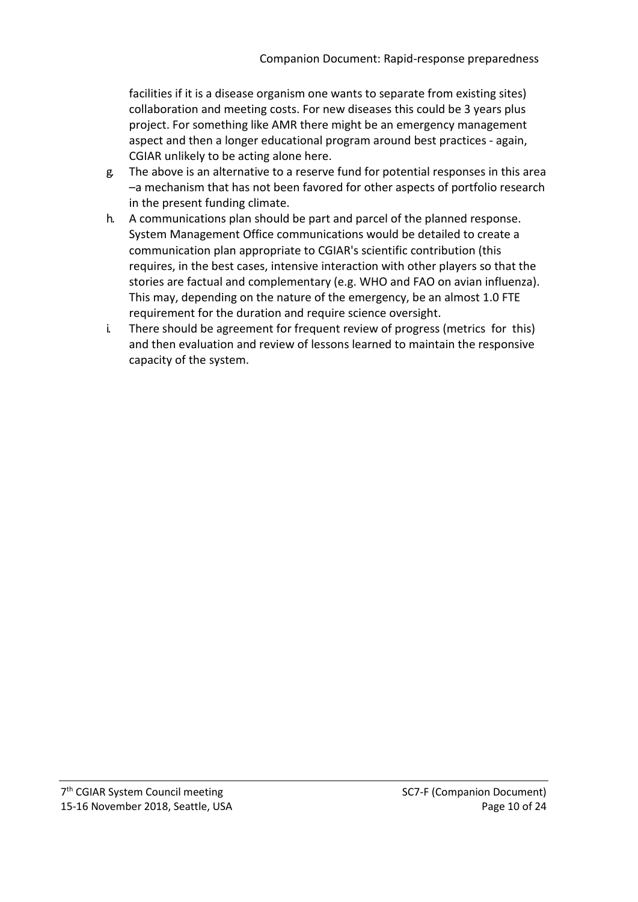facilities if it is a disease organism one wants to separate from existing sites) collaboration and meeting costs. For new diseases this could be 3 years plus project. For something like AMR there might be an emergency management aspect and then a longer educational program around best practices - again, CGIAR unlikely to be acting alone here.

- g. The above is an alternative to a reserve fund for potential responses in this area –a mechanism that has not been favored for other aspects of portfolio research in the present funding climate.
- h. A communications plan should be part and parcel of the planned response. System Management Office communications would be detailed to create a communication plan appropriate to CGIAR's scientific contribution (this requires, in the best cases, intensive interaction with other players so that the stories are factual and complementary (e.g. WHO and FAO on avian influenza). This may, depending on the nature of the emergency, be an almost 1.0 FTE requirement for the duration and require science oversight.
- i. There should be agreement for frequent review of progress (metrics for this) and then evaluation and review of lessons learned to maintain the responsive capacity of the system.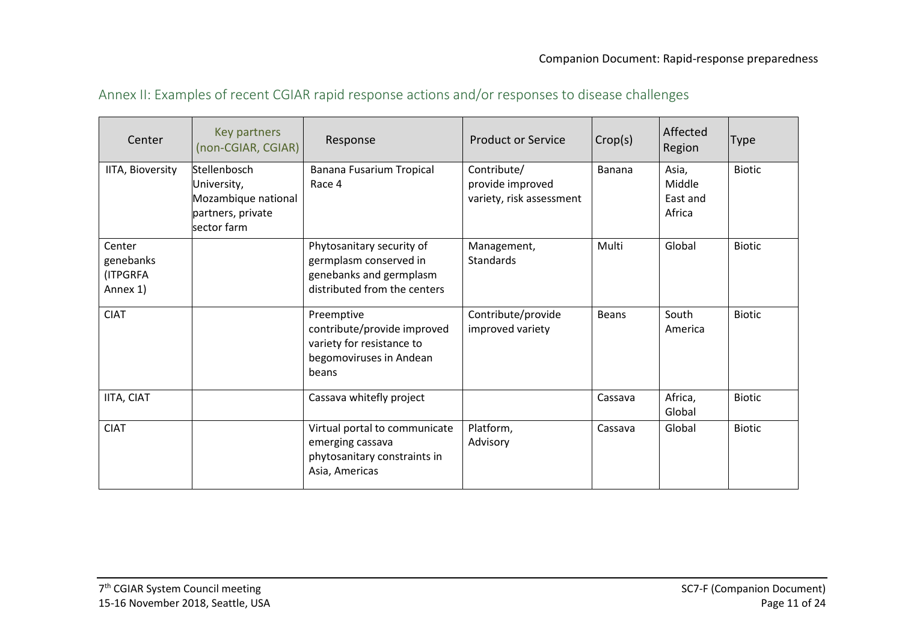| Annex II: Examples of recent CGIAR rapid response actions and/or responses to disease challenges |  |  |
|--------------------------------------------------------------------------------------------------|--|--|
|--------------------------------------------------------------------------------------------------|--|--|

| Center                                      | Key partners<br>(non-CGIAR, CGIAR)                                                     | Response                                                                                                       | <b>Product or Service</b>                                   | Crop(s)      | Affected<br>Region                    | <b>Type</b>   |
|---------------------------------------------|----------------------------------------------------------------------------------------|----------------------------------------------------------------------------------------------------------------|-------------------------------------------------------------|--------------|---------------------------------------|---------------|
| IITA, Bioversity                            | Stellenbosch<br>University,<br>Mozambique national<br>partners, private<br>sector farm | Banana Fusarium Tropical<br>Race 4                                                                             | Contribute/<br>provide improved<br>variety, risk assessment | Banana       | Asia,<br>Middle<br>East and<br>Africa | <b>Biotic</b> |
| Center<br>genebanks<br>(ITPGRFA<br>Annex 1) |                                                                                        | Phytosanitary security of<br>germplasm conserved in<br>genebanks and germplasm<br>distributed from the centers | Management,<br><b>Standards</b>                             | Multi        | Global                                | <b>Biotic</b> |
| <b>CIAT</b>                                 |                                                                                        | Preemptive<br>contribute/provide improved<br>variety for resistance to<br>begomoviruses in Andean<br>beans     | Contribute/provide<br>improved variety                      | <b>Beans</b> | South<br>America                      | <b>Biotic</b> |
| IITA, CIAT                                  |                                                                                        | Cassava whitefly project                                                                                       |                                                             | Cassava      | Africa,<br>Global                     | <b>Biotic</b> |
| <b>CIAT</b>                                 |                                                                                        | Virtual portal to communicate<br>emerging cassava<br>phytosanitary constraints in<br>Asia, Americas            | Platform,<br>Advisory                                       | Cassava      | Global                                | <b>Biotic</b> |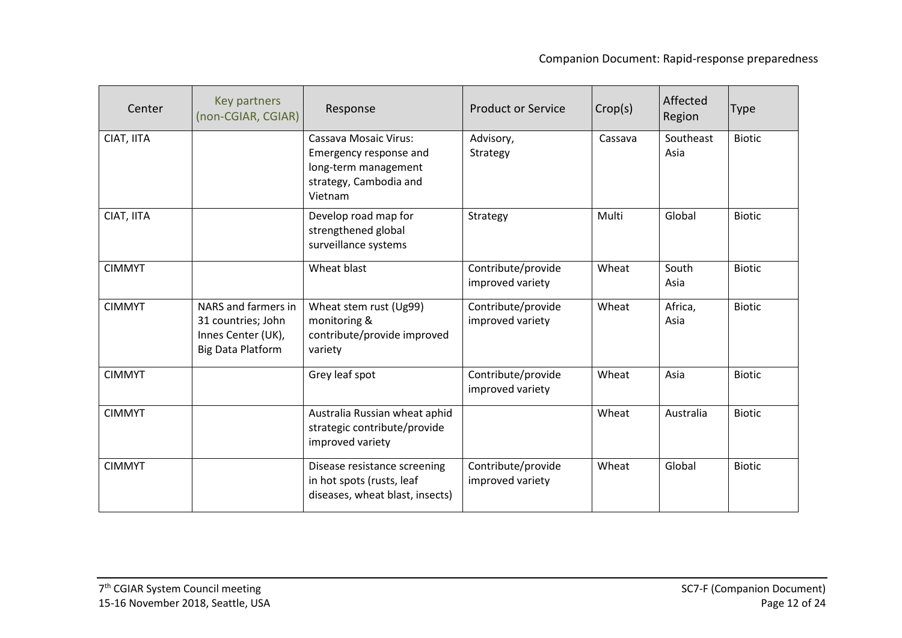| Center        | Key partners<br>(non-CGIAR, CGIAR)                                                          | Response                                                                                                            | <b>Product or Service</b>              | Crop(s) | Affected<br>Region | <b>Type</b>   |
|---------------|---------------------------------------------------------------------------------------------|---------------------------------------------------------------------------------------------------------------------|----------------------------------------|---------|--------------------|---------------|
| CIAT, IITA    |                                                                                             | <b>Cassava Mosaic Virus:</b><br>Emergency response and<br>long-term management<br>strategy, Cambodia and<br>Vietnam | Advisory,<br>Strategy                  | Cassava | Southeast<br>Asia  | <b>Biotic</b> |
| CIAT, IITA    |                                                                                             | Develop road map for<br>strengthened global<br>surveillance systems                                                 | Strategy                               | Multi   | Global             | <b>Biotic</b> |
| <b>CIMMYT</b> |                                                                                             | Wheat blast                                                                                                         | Contribute/provide<br>improved variety | Wheat   | South<br>Asia      | <b>Biotic</b> |
| <b>CIMMYT</b> | NARS and farmers in<br>31 countries; John<br>Innes Center (UK),<br><b>Big Data Platform</b> | Wheat stem rust (Ug99)<br>monitoring &<br>contribute/provide improved<br>variety                                    | Contribute/provide<br>improved variety | Wheat   | Africa,<br>Asia    | <b>Biotic</b> |
| <b>CIMMYT</b> |                                                                                             | Grey leaf spot                                                                                                      | Contribute/provide<br>improved variety | Wheat   | Asia               | <b>Biotic</b> |
| <b>CIMMYT</b> |                                                                                             | Australia Russian wheat aphid<br>strategic contribute/provide<br>improved variety                                   |                                        | Wheat   | Australia          | <b>Biotic</b> |
| <b>CIMMYT</b> |                                                                                             | Disease resistance screening<br>in hot spots (rusts, leaf<br>diseases, wheat blast, insects)                        | Contribute/provide<br>improved variety | Wheat   | Global             | <b>Biotic</b> |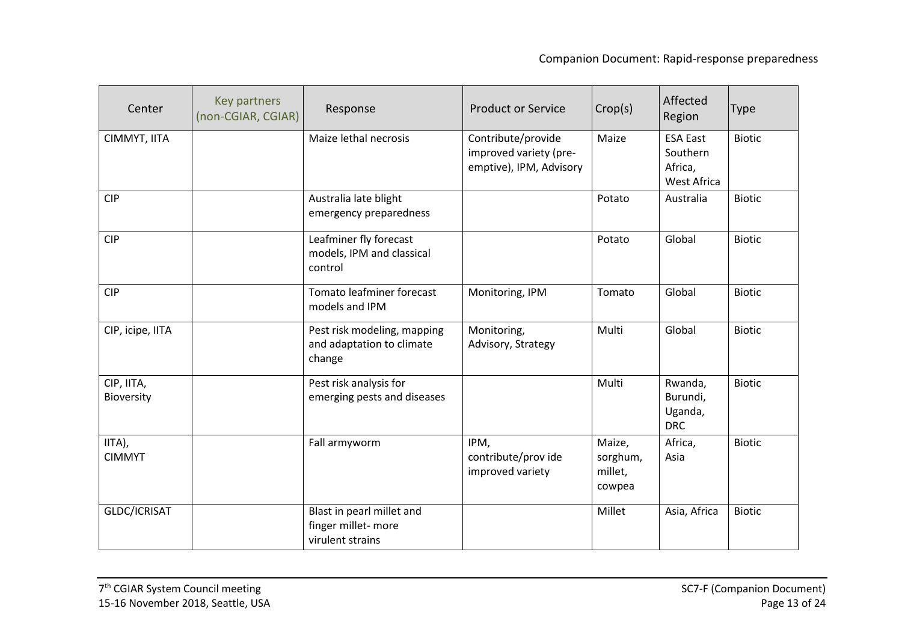| Center                   | Key partners<br>(non-CGIAR, CGIAR) | Response                                                            | <b>Product or Service</b>                                               | Crop(s)                                 | Affected<br>Region                                    | Type          |
|--------------------------|------------------------------------|---------------------------------------------------------------------|-------------------------------------------------------------------------|-----------------------------------------|-------------------------------------------------------|---------------|
| CIMMYT, IITA             |                                    | Maize lethal necrosis                                               | Contribute/provide<br>improved variety (pre-<br>emptive), IPM, Advisory | Maize                                   | <b>ESA East</b><br>Southern<br>Africa,<br>West Africa | <b>Biotic</b> |
| <b>CIP</b>               |                                    | Australia late blight<br>emergency preparedness                     |                                                                         | Potato                                  | Australia                                             | <b>Biotic</b> |
| <b>CIP</b>               |                                    | Leafminer fly forecast<br>models, IPM and classical<br>control      |                                                                         | Potato                                  | Global                                                | <b>Biotic</b> |
| <b>CIP</b>               |                                    | Tomato leafminer forecast<br>models and IPM                         | Monitoring, IPM                                                         | Tomato                                  | Global                                                | Biotic        |
| CIP, icipe, IITA         |                                    | Pest risk modeling, mapping<br>and adaptation to climate<br>change  | Monitoring,<br>Advisory, Strategy                                       | Multi                                   | Global                                                | <b>Biotic</b> |
| CIP, IITA,<br>Bioversity |                                    | Pest risk analysis for<br>emerging pests and diseases               |                                                                         | Multi                                   | Rwanda,<br>Burundi,<br>Uganda,<br><b>DRC</b>          | <b>Biotic</b> |
| IITA),<br><b>CIMMYT</b>  |                                    | Fall armyworm                                                       | IPM,<br>contribute/prov ide<br>improved variety                         | Maize,<br>sorghum,<br>millet,<br>cowpea | Africa,<br>Asia                                       | <b>Biotic</b> |
| GLDC/ICRISAT             |                                    | Blast in pearl millet and<br>finger millet-more<br>virulent strains |                                                                         | Millet                                  | Asia, Africa                                          | <b>Biotic</b> |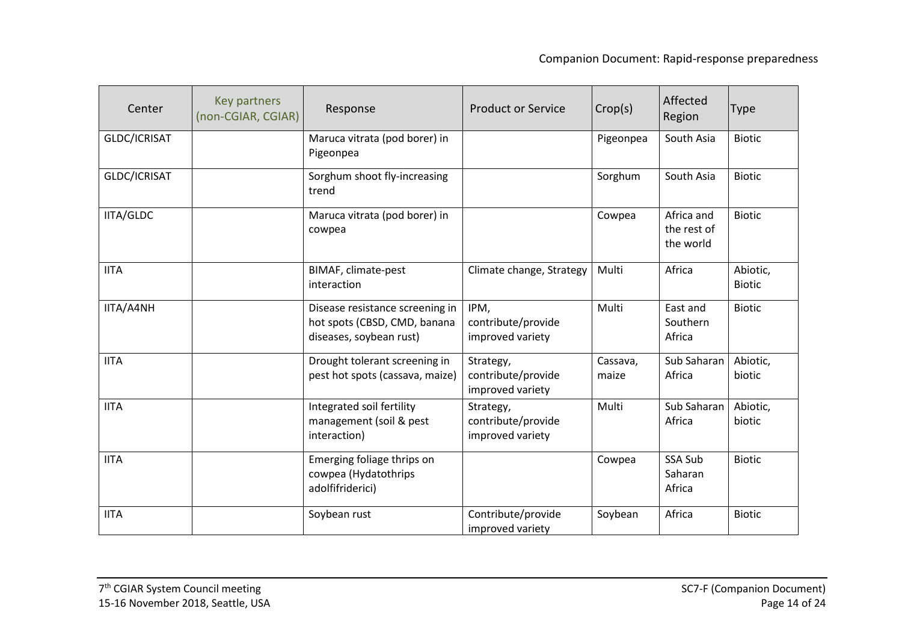| Center           | Key partners<br>(non-CGIAR, CGIAR) | Response                                                                                   | <b>Product or Service</b>                           | Crop(s)           | Affected<br>Region                     | <b>Type</b>               |
|------------------|------------------------------------|--------------------------------------------------------------------------------------------|-----------------------------------------------------|-------------------|----------------------------------------|---------------------------|
| GLDC/ICRISAT     |                                    | Maruca vitrata (pod borer) in<br>Pigeonpea                                                 |                                                     | Pigeonpea         | South Asia                             | <b>Biotic</b>             |
| GLDC/ICRISAT     |                                    | Sorghum shoot fly-increasing<br>trend                                                      |                                                     | Sorghum           | South Asia                             | <b>Biotic</b>             |
| <b>IITA/GLDC</b> |                                    | Maruca vitrata (pod borer) in<br>cowpea                                                    |                                                     | Cowpea            | Africa and<br>the rest of<br>the world | <b>Biotic</b>             |
| <b>IITA</b>      |                                    | BIMAF, climate-pest<br>interaction                                                         | Climate change, Strategy                            | Multi             | Africa                                 | Abiotic,<br><b>Biotic</b> |
| IITA/A4NH        |                                    | Disease resistance screening in<br>hot spots (CBSD, CMD, banana<br>diseases, soybean rust) | IPM,<br>contribute/provide<br>improved variety      | Multi             | East and<br>Southern<br>Africa         | <b>Biotic</b>             |
| <b>IITA</b>      |                                    | Drought tolerant screening in<br>pest hot spots (cassava, maize)                           | Strategy,<br>contribute/provide<br>improved variety | Cassava,<br>maize | Sub Saharan<br>Africa                  | Abiotic,<br>biotic        |
| <b>IITA</b>      |                                    | Integrated soil fertility<br>management (soil & pest<br>interaction)                       | Strategy,<br>contribute/provide<br>improved variety | Multi             | Sub Saharan<br>Africa                  | Abiotic,<br>biotic        |
| <b>IITA</b>      |                                    | Emerging foliage thrips on<br>cowpea (Hydatothrips<br>adolfifriderici)                     |                                                     | Cowpea            | SSA Sub<br>Saharan<br>Africa           | <b>Biotic</b>             |
| <b>IITA</b>      |                                    | Soybean rust                                                                               | Contribute/provide<br>improved variety              | Soybean           | Africa                                 | <b>Biotic</b>             |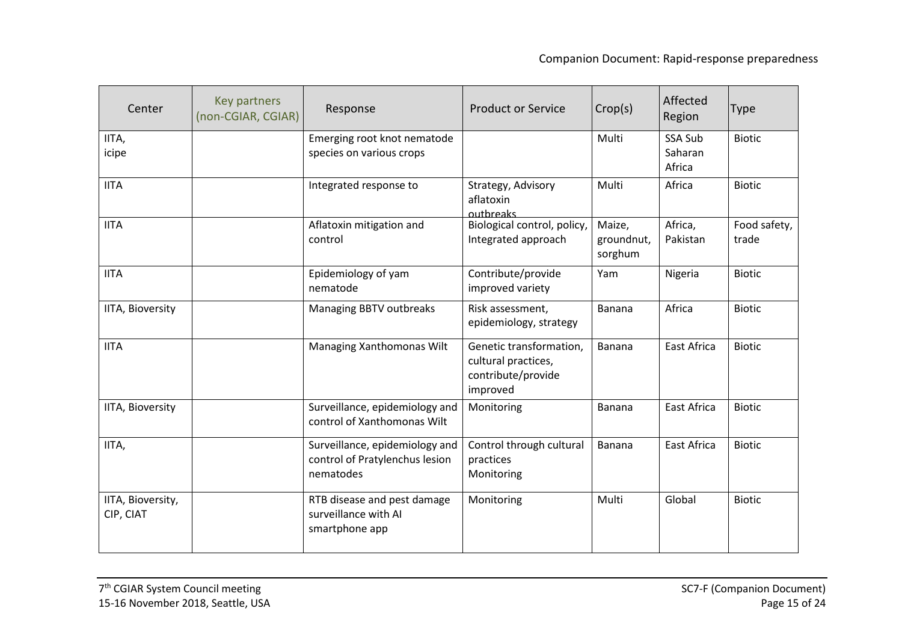| Center                         | Key partners<br>(non-CGIAR, CGIAR) | Response                                                                      | <b>Product or Service</b>                                                        | Crop(s)                         | Affected<br>Region           | <b>Type</b>           |
|--------------------------------|------------------------------------|-------------------------------------------------------------------------------|----------------------------------------------------------------------------------|---------------------------------|------------------------------|-----------------------|
| IITA,<br>icipe                 |                                    | Emerging root knot nematode<br>species on various crops                       |                                                                                  | Multi                           | SSA Sub<br>Saharan<br>Africa | <b>Biotic</b>         |
| <b>IITA</b>                    |                                    | Integrated response to                                                        | Strategy, Advisory<br>aflatoxin<br>outbreaks                                     | Multi                           | Africa                       | <b>Biotic</b>         |
| <b>IITA</b>                    |                                    | Aflatoxin mitigation and<br>control                                           | Biological control, policy,<br>Integrated approach                               | Maize,<br>groundnut,<br>sorghum | Africa,<br>Pakistan          | Food safety,<br>trade |
| <b>IITA</b>                    |                                    | Epidemiology of yam<br>nematode                                               | Contribute/provide<br>improved variety                                           | Yam                             | Nigeria                      | <b>Biotic</b>         |
| <b>IITA, Bioversity</b>        |                                    | Managing BBTV outbreaks                                                       | Risk assessment,<br>epidemiology, strategy                                       | Banana                          | Africa                       | <b>Biotic</b>         |
| <b>IITA</b>                    |                                    | Managing Xanthomonas Wilt                                                     | Genetic transformation,<br>cultural practices,<br>contribute/provide<br>improved | <b>Banana</b>                   | East Africa                  | <b>Biotic</b>         |
| <b>IITA, Bioversity</b>        |                                    | Surveillance, epidemiology and<br>control of Xanthomonas Wilt                 | Monitoring                                                                       | Banana                          | <b>East Africa</b>           | <b>Biotic</b>         |
| IITA,                          |                                    | Surveillance, epidemiology and<br>control of Pratylenchus lesion<br>nematodes | Control through cultural<br>practices<br>Monitoring                              | <b>Banana</b>                   | East Africa                  | <b>Biotic</b>         |
| IITA, Bioversity,<br>CIP, CIAT |                                    | RTB disease and pest damage<br>surveillance with AI<br>smartphone app         | Monitoring                                                                       | Multi                           | Global                       | <b>Biotic</b>         |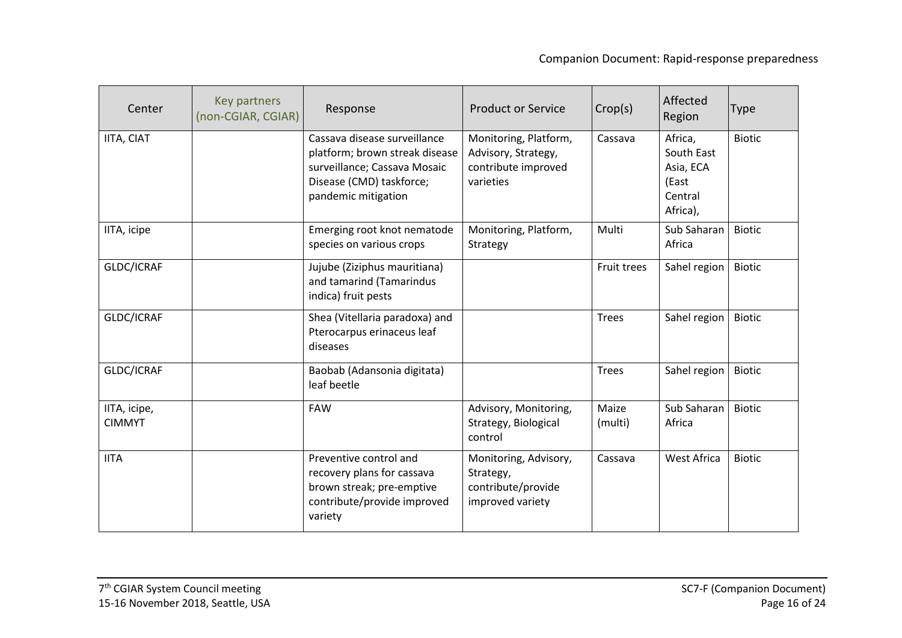| Center                        | Key partners<br>(non-CGIAR, CGIAR) | Response                                                                                                                                          | <b>Product or Service</b>                                                        | Crop(s)          | Affected<br>Region                                                 | Type          |
|-------------------------------|------------------------------------|---------------------------------------------------------------------------------------------------------------------------------------------------|----------------------------------------------------------------------------------|------------------|--------------------------------------------------------------------|---------------|
| IITA, CIAT                    |                                    | Cassava disease surveillance<br>platform; brown streak disease<br>surveillance; Cassava Mosaic<br>Disease (CMD) taskforce;<br>pandemic mitigation | Monitoring, Platform,<br>Advisory, Strategy,<br>contribute improved<br>varieties | Cassava          | Africa,<br>South East<br>Asia, ECA<br>(East<br>Central<br>Africa), | <b>Biotic</b> |
| IITA, icipe                   |                                    | Emerging root knot nematode<br>species on various crops                                                                                           | Monitoring, Platform,<br>Strategy                                                | Multi            | Sub Saharan<br>Africa                                              | <b>Biotic</b> |
| GLDC/ICRAF                    |                                    | Jujube (Ziziphus mauritiana)<br>and tamarind (Tamarindus<br>indica) fruit pests                                                                   |                                                                                  | Fruit trees      | Sahel region                                                       | <b>Biotic</b> |
| GLDC/ICRAF                    |                                    | Shea (Vitellaria paradoxa) and<br>Pterocarpus erinaceus leaf<br>diseases                                                                          |                                                                                  | <b>Trees</b>     | Sahel region                                                       | <b>Biotic</b> |
| GLDC/ICRAF                    |                                    | Baobab (Adansonia digitata)<br>leaf beetle                                                                                                        |                                                                                  | <b>Trees</b>     | Sahel region                                                       | <b>Biotic</b> |
| IITA, icipe,<br><b>CIMMYT</b> |                                    | <b>FAW</b>                                                                                                                                        | Advisory, Monitoring,<br>Strategy, Biological<br>control                         | Maize<br>(multi) | Sub Saharan<br>Africa                                              | <b>Biotic</b> |
| <b>IITA</b>                   |                                    | Preventive control and<br>recovery plans for cassava<br>brown streak; pre-emptive<br>contribute/provide improved<br>variety                       | Monitoring, Advisory,<br>Strategy,<br>contribute/provide<br>improved variety     | Cassava          | <b>West Africa</b>                                                 | <b>Biotic</b> |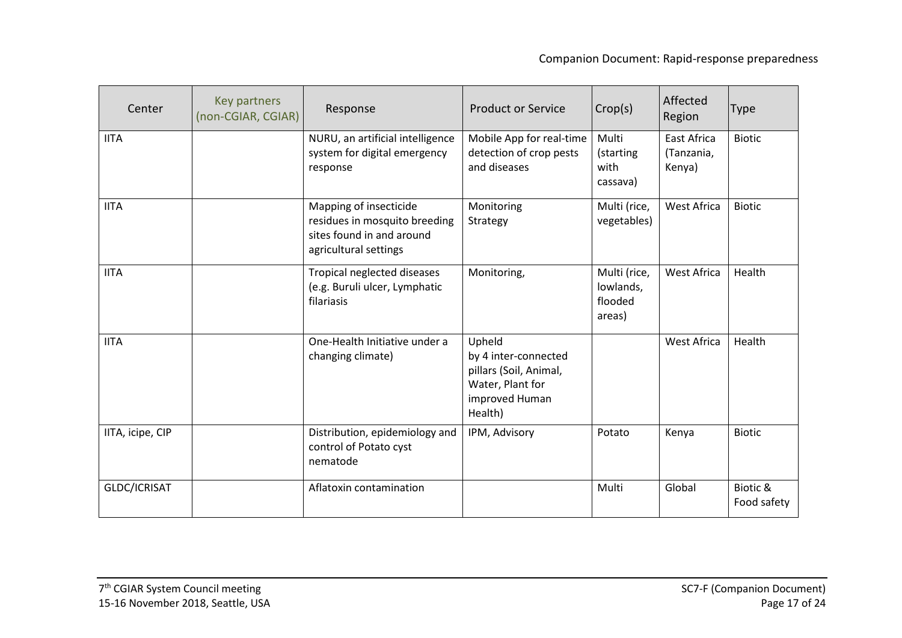| Center           | Key partners<br>(non-CGIAR, CGIAR) | Response                                                                                                      | <b>Product or Service</b>                                                                                 | Crop(s)                                        | Affected<br>Region                         | <b>Type</b>             |
|------------------|------------------------------------|---------------------------------------------------------------------------------------------------------------|-----------------------------------------------------------------------------------------------------------|------------------------------------------------|--------------------------------------------|-------------------------|
| <b>IITA</b>      |                                    | NURU, an artificial intelligence<br>system for digital emergency<br>response                                  | Mobile App for real-time<br>detection of crop pests<br>and diseases                                       | Multi<br>(starting<br>with<br>cassava)         | <b>East Africa</b><br>(Tanzania,<br>Kenya) | <b>Biotic</b>           |
| <b>IITA</b>      |                                    | Mapping of insecticide<br>residues in mosquito breeding<br>sites found in and around<br>agricultural settings | Monitoring<br>Strategy                                                                                    | Multi (rice,<br>vegetables)                    | West Africa                                | <b>Biotic</b>           |
| <b>IITA</b>      |                                    | Tropical neglected diseases<br>(e.g. Buruli ulcer, Lymphatic<br>filariasis                                    | Monitoring,                                                                                               | Multi (rice,<br>lowlands,<br>flooded<br>areas) | West Africa                                | Health                  |
| <b>IITA</b>      |                                    | One-Health Initiative under a<br>changing climate)                                                            | Upheld<br>by 4 inter-connected<br>pillars (Soil, Animal,<br>Water, Plant for<br>improved Human<br>Health) |                                                | <b>West Africa</b>                         | Health                  |
| IITA, icipe, CIP |                                    | Distribution, epidemiology and<br>control of Potato cyst<br>nematode                                          | IPM, Advisory                                                                                             | Potato                                         | Kenya                                      | <b>Biotic</b>           |
| GLDC/ICRISAT     |                                    | Aflatoxin contamination                                                                                       |                                                                                                           | Multi                                          | Global                                     | Biotic &<br>Food safety |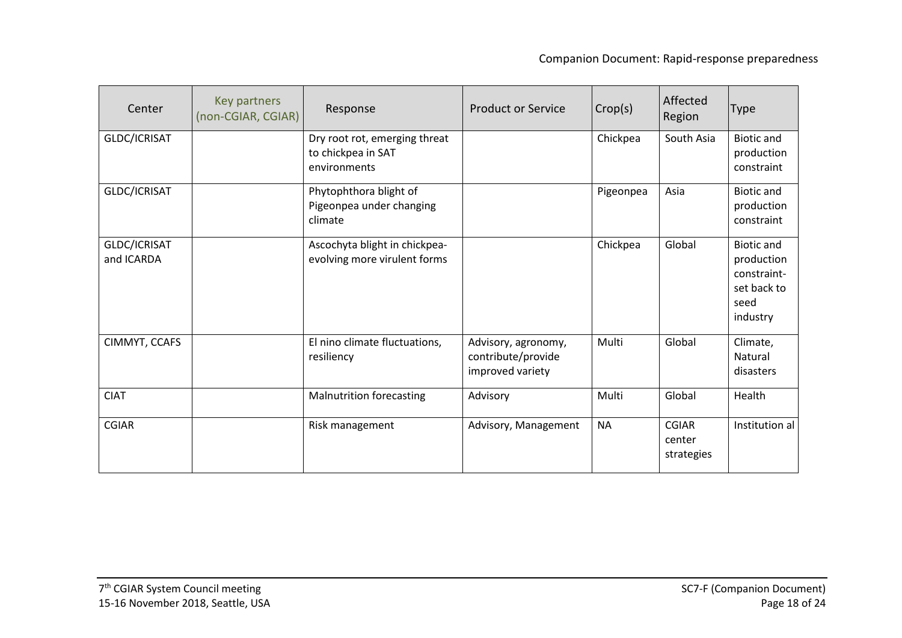| Center                     | Key partners<br>(non-CGIAR, CGIAR) | Response                                                            | <b>Product or Service</b>                                     | Crop(s)   | Affected<br>Region            | <b>Type</b>                                                                       |
|----------------------------|------------------------------------|---------------------------------------------------------------------|---------------------------------------------------------------|-----------|-------------------------------|-----------------------------------------------------------------------------------|
| GLDC/ICRISAT               |                                    | Dry root rot, emerging threat<br>to chickpea in SAT<br>environments |                                                               | Chickpea  | South Asia                    | <b>Biotic and</b><br>production<br>constraint                                     |
| GLDC/ICRISAT               |                                    | Phytophthora blight of<br>Pigeonpea under changing<br>climate       |                                                               | Pigeonpea | Asia                          | <b>Biotic and</b><br>production<br>constraint                                     |
| GLDC/ICRISAT<br>and ICARDA |                                    | Ascochyta blight in chickpea-<br>evolving more virulent forms       |                                                               | Chickpea  | Global                        | <b>Biotic and</b><br>production<br>constraint-<br>set back to<br>seed<br>industry |
| CIMMYT, CCAFS              |                                    | El nino climate fluctuations,<br>resiliency                         | Advisory, agronomy,<br>contribute/provide<br>improved variety | Multi     | Global                        | Climate,<br>Natural<br>disasters                                                  |
| <b>CIAT</b>                |                                    | <b>Malnutrition forecasting</b>                                     | Advisory                                                      | Multi     | Global                        | Health                                                                            |
| <b>CGIAR</b>               |                                    | Risk management                                                     | Advisory, Management                                          | <b>NA</b> | CGIAR<br>center<br>strategies | Institution al                                                                    |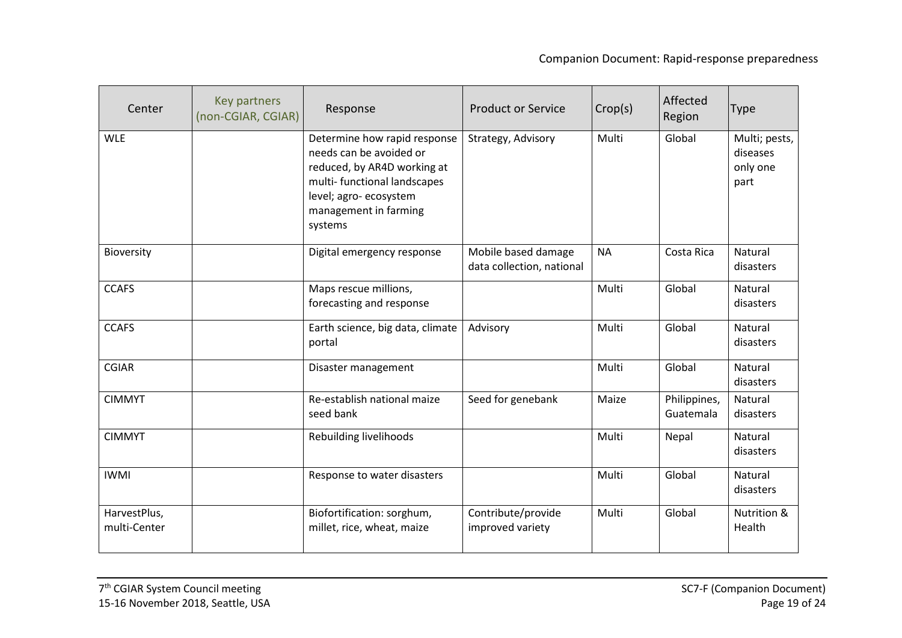| Center                       | Key partners<br>(non-CGIAR, CGIAR) | Response                                                                                                                                                                           | <b>Product or Service</b>                        | Crop(s)   | Affected<br>Region        | <b>Type</b>                                   |
|------------------------------|------------------------------------|------------------------------------------------------------------------------------------------------------------------------------------------------------------------------------|--------------------------------------------------|-----------|---------------------------|-----------------------------------------------|
| <b>WLE</b>                   |                                    | Determine how rapid response<br>needs can be avoided or<br>reduced, by AR4D working at<br>multi-functional landscapes<br>level; agro-ecosystem<br>management in farming<br>systems | Strategy, Advisory                               | Multi     | Global                    | Multi; pests,<br>diseases<br>only one<br>part |
| Bioversity                   |                                    | Digital emergency response                                                                                                                                                         | Mobile based damage<br>data collection, national | <b>NA</b> | Costa Rica                | Natural<br>disasters                          |
| <b>CCAFS</b>                 |                                    | Maps rescue millions,<br>forecasting and response                                                                                                                                  |                                                  | Multi     | Global                    | Natural<br>disasters                          |
| <b>CCAFS</b>                 |                                    | Earth science, big data, climate<br>portal                                                                                                                                         | Advisory                                         | Multi     | Global                    | Natural<br>disasters                          |
| <b>CGIAR</b>                 |                                    | Disaster management                                                                                                                                                                |                                                  | Multi     | Global                    | Natural<br>disasters                          |
| <b>CIMMYT</b>                |                                    | Re-establish national maize<br>seed bank                                                                                                                                           | Seed for genebank                                | Maize     | Philippines,<br>Guatemala | Natural<br>disasters                          |
| <b>CIMMYT</b>                |                                    | Rebuilding livelihoods                                                                                                                                                             |                                                  | Multi     | Nepal                     | Natural<br>disasters                          |
| <b>IWMI</b>                  |                                    | Response to water disasters                                                                                                                                                        |                                                  | Multi     | Global                    | Natural<br>disasters                          |
| HarvestPlus,<br>multi-Center |                                    | Biofortification: sorghum,<br>millet, rice, wheat, maize                                                                                                                           | Contribute/provide<br>improved variety           | Multi     | Global                    | Nutrition &<br>Health                         |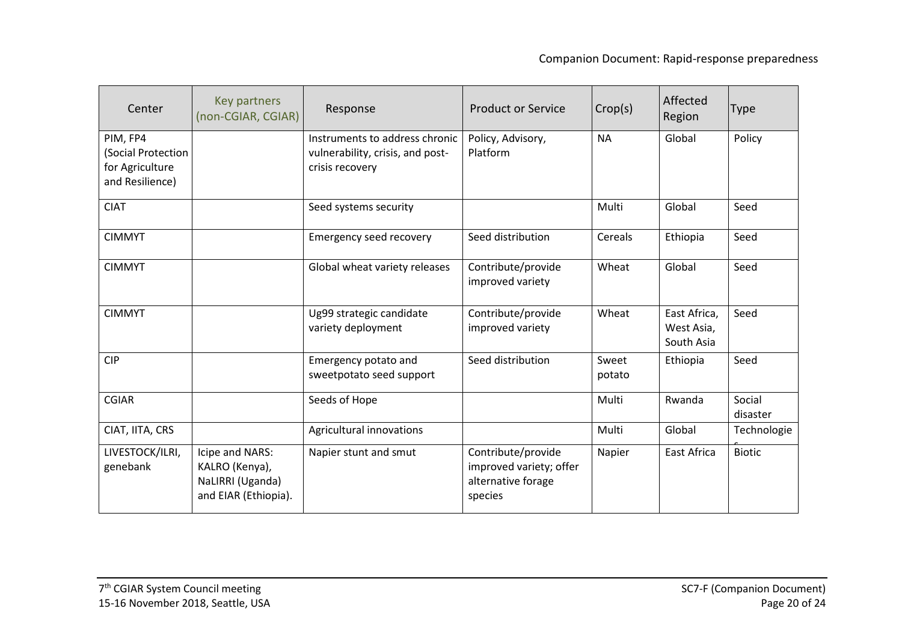| Center                                                               | Key partners<br>(non-CGIAR, CGIAR)                                            | Response                                                                              | <b>Product or Service</b>                                                      | Crop(s)         | Affected<br>Region                       | <b>Type</b>        |
|----------------------------------------------------------------------|-------------------------------------------------------------------------------|---------------------------------------------------------------------------------------|--------------------------------------------------------------------------------|-----------------|------------------------------------------|--------------------|
| PIM, FP4<br>(Social Protection<br>for Agriculture<br>and Resilience) |                                                                               | Instruments to address chronic<br>vulnerability, crisis, and post-<br>crisis recovery | Policy, Advisory,<br>Platform                                                  | <b>NA</b>       | Global                                   | Policy             |
| <b>CIAT</b>                                                          |                                                                               | Seed systems security                                                                 |                                                                                | Multi           | Global                                   | Seed               |
| <b>CIMMYT</b>                                                        |                                                                               | Emergency seed recovery                                                               | Seed distribution                                                              | Cereals         | Ethiopia                                 | Seed               |
| <b>CIMMYT</b>                                                        |                                                                               | Global wheat variety releases                                                         | Contribute/provide<br>improved variety                                         | Wheat           | Global                                   | Seed               |
| <b>CIMMYT</b>                                                        |                                                                               | Ug99 strategic candidate<br>variety deployment                                        | Contribute/provide<br>improved variety                                         | Wheat           | East Africa,<br>West Asia,<br>South Asia | Seed               |
| <b>CIP</b>                                                           |                                                                               | Emergency potato and<br>sweetpotato seed support                                      | Seed distribution                                                              | Sweet<br>potato | Ethiopia                                 | Seed               |
| <b>CGIAR</b>                                                         |                                                                               | Seeds of Hope                                                                         |                                                                                | Multi           | Rwanda                                   | Social<br>disaster |
| CIAT, IITA, CRS                                                      |                                                                               | Agricultural innovations                                                              |                                                                                | Multi           | Global                                   | Technologie        |
| LIVESTOCK/ILRI,<br>genebank                                          | Icipe and NARS:<br>KALRO (Kenya),<br>NaLIRRI (Uganda)<br>and EIAR (Ethiopia). | Napier stunt and smut                                                                 | Contribute/provide<br>improved variety; offer<br>alternative forage<br>species | Napier          | <b>East Africa</b>                       | <b>Biotic</b>      |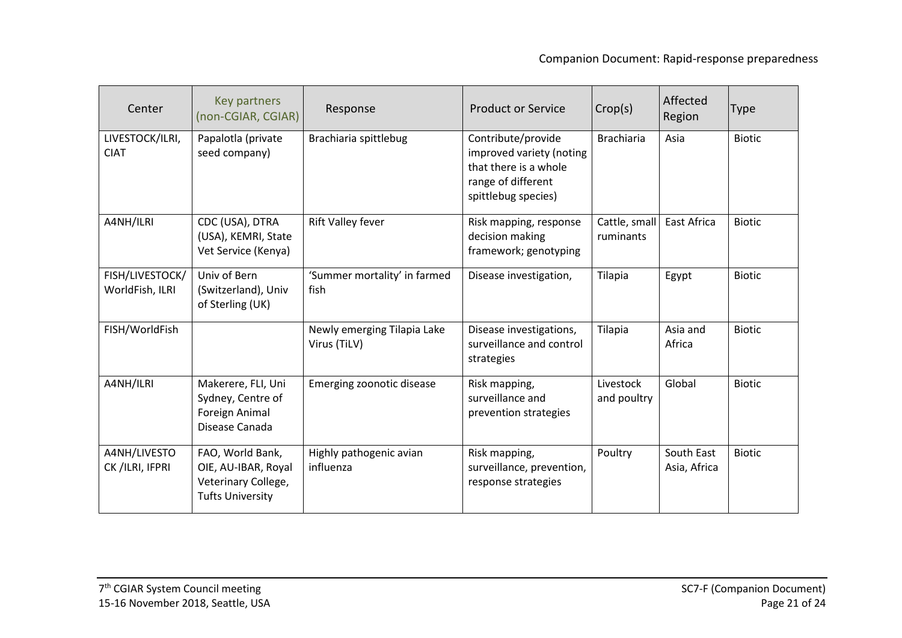| Center                             | Key partners<br>(non-CGIAR, CGIAR)                                                        | Response                                    | <b>Product or Service</b>                                                                                            | Crop(s)                    | Affected<br>Region         | <b>Type</b>   |
|------------------------------------|-------------------------------------------------------------------------------------------|---------------------------------------------|----------------------------------------------------------------------------------------------------------------------|----------------------------|----------------------------|---------------|
| LIVESTOCK/ILRI,<br><b>CIAT</b>     | Papalotla (private<br>seed company)                                                       | Brachiaria spittlebug                       | Contribute/provide<br>improved variety (noting<br>that there is a whole<br>range of different<br>spittlebug species) | <b>Brachiaria</b>          | Asia                       | <b>Biotic</b> |
| A4NH/ILRI                          | CDC (USA), DTRA<br>(USA), KEMRI, State<br>Vet Service (Kenya)                             | Rift Valley fever                           | Risk mapping, response<br>decision making<br>framework; genotyping                                                   | Cattle, small<br>ruminants | <b>East Africa</b>         | <b>Biotic</b> |
| FISH/LIVESTOCK/<br>WorldFish, ILRI | Univ of Bern<br>(Switzerland), Univ<br>of Sterling (UK)                                   | 'Summer mortality' in farmed<br>fish        | Disease investigation,                                                                                               | Tilapia                    | Egypt                      | <b>Biotic</b> |
| FISH/WorldFish                     |                                                                                           | Newly emerging Tilapia Lake<br>Virus (TiLV) | Disease investigations,<br>surveillance and control<br>strategies                                                    | Tilapia                    | Asia and<br>Africa         | <b>Biotic</b> |
| A4NH/ILRI                          | Makerere, FLI, Uni<br>Sydney, Centre of<br>Foreign Animal<br>Disease Canada               | Emerging zoonotic disease                   | Risk mapping,<br>surveillance and<br>prevention strategies                                                           | Livestock<br>and poultry   | Global                     | <b>Biotic</b> |
| A4NH/LIVESTO<br>CK /ILRI, IFPRI    | FAO, World Bank,<br>OIE, AU-IBAR, Royal<br>Veterinary College,<br><b>Tufts University</b> | Highly pathogenic avian<br>influenza        | Risk mapping,<br>surveillance, prevention,<br>response strategies                                                    | Poultry                    | South East<br>Asia, Africa | <b>Biotic</b> |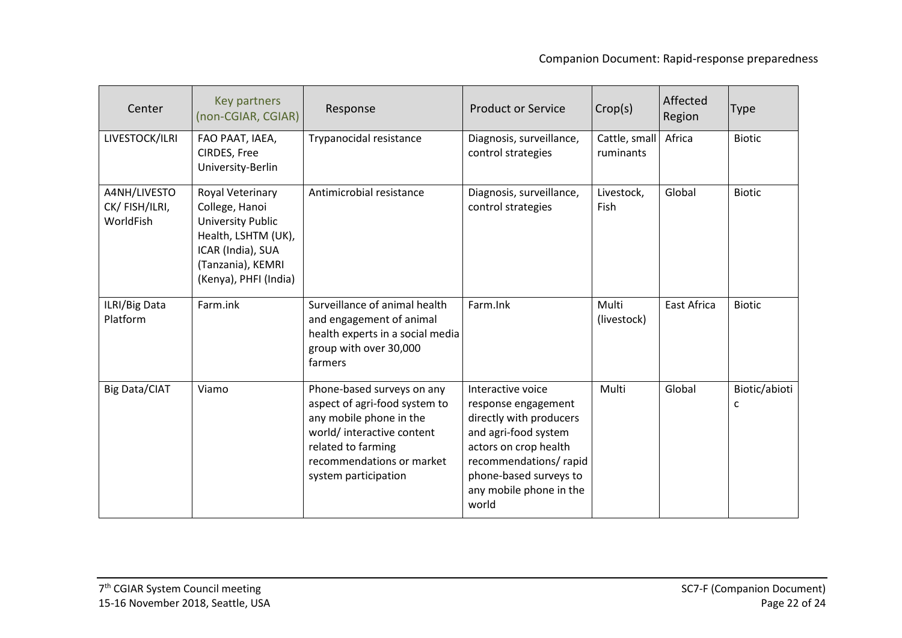| Center                                     | Key partners<br>(non-CGIAR, CGIAR)                                                                                                                       | Response                                                                                                                                                                                        | <b>Product or Service</b>                                                                                                                                                                                   | Crop(s)                    | Affected<br>Region | <b>Type</b>        |
|--------------------------------------------|----------------------------------------------------------------------------------------------------------------------------------------------------------|-------------------------------------------------------------------------------------------------------------------------------------------------------------------------------------------------|-------------------------------------------------------------------------------------------------------------------------------------------------------------------------------------------------------------|----------------------------|--------------------|--------------------|
| LIVESTOCK/ILRI                             | FAO PAAT, IAEA,<br>CIRDES, Free<br>University-Berlin                                                                                                     | Trypanocidal resistance                                                                                                                                                                         | Diagnosis, surveillance,<br>control strategies                                                                                                                                                              | Cattle, small<br>ruminants | Africa             | <b>Biotic</b>      |
| A4NH/LIVESTO<br>CK/FISH/ILRI,<br>WorldFish | Royal Veterinary<br>College, Hanoi<br><b>University Public</b><br>Health, LSHTM (UK),<br>ICAR (India), SUA<br>(Tanzania), KEMRI<br>(Kenya), PHFI (India) | Antimicrobial resistance                                                                                                                                                                        | Diagnosis, surveillance,<br>control strategies                                                                                                                                                              | Livestock,<br>Fish         | Global             | <b>Biotic</b>      |
| ILRI/Big Data<br>Platform                  | Farm.ink                                                                                                                                                 | Surveillance of animal health<br>and engagement of animal<br>health experts in a social media<br>group with over 30,000<br>farmers                                                              | Farm.Ink                                                                                                                                                                                                    | Multi<br>(livestock)       | East Africa        | <b>Biotic</b>      |
| <b>Big Data/CIAT</b>                       | Viamo                                                                                                                                                    | Phone-based surveys on any<br>aspect of agri-food system to<br>any mobile phone in the<br>world/ interactive content<br>related to farming<br>recommendations or market<br>system participation | Interactive voice<br>response engagement<br>directly with producers<br>and agri-food system<br>actors on crop health<br>recommendations/rapid<br>phone-based surveys to<br>any mobile phone in the<br>world | Multi                      | Global             | Biotic/abioti<br>c |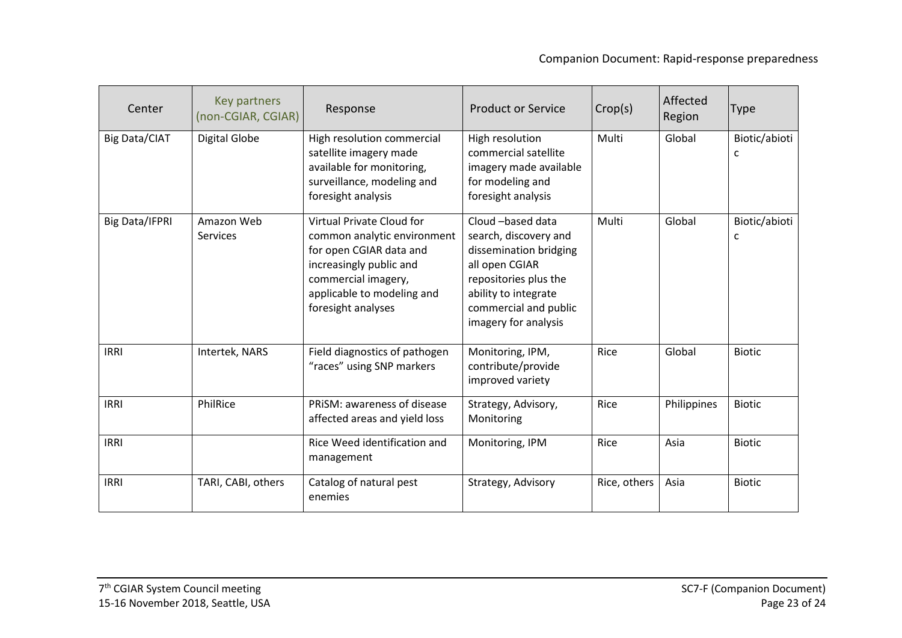| Center                | Key partners<br>(non-CGIAR, CGIAR) | Response                                                                                                                                                                                         | <b>Product or Service</b>                                                                                                                                                                | Crop(s)      | Affected<br>Region | <b>Type</b>        |
|-----------------------|------------------------------------|--------------------------------------------------------------------------------------------------------------------------------------------------------------------------------------------------|------------------------------------------------------------------------------------------------------------------------------------------------------------------------------------------|--------------|--------------------|--------------------|
| <b>Big Data/CIAT</b>  | <b>Digital Globe</b>               | High resolution commercial<br>satellite imagery made<br>available for monitoring,<br>surveillance, modeling and<br>foresight analysis                                                            | High resolution<br>commercial satellite<br>imagery made available<br>for modeling and<br>foresight analysis                                                                              | Multi        | Global             | Biotic/abioti<br>c |
| <b>Big Data/IFPRI</b> | Amazon Web<br>Services             | <b>Virtual Private Cloud for</b><br>common analytic environment<br>for open CGIAR data and<br>increasingly public and<br>commercial imagery,<br>applicable to modeling and<br>foresight analyses | Cloud -based data<br>search, discovery and<br>dissemination bridging<br>all open CGIAR<br>repositories plus the<br>ability to integrate<br>commercial and public<br>imagery for analysis | Multi        | Global             | Biotic/abioti<br>с |
| <b>IRRI</b>           | Intertek, NARS                     | Field diagnostics of pathogen<br>"races" using SNP markers                                                                                                                                       | Monitoring, IPM,<br>contribute/provide<br>improved variety                                                                                                                               | Rice         | Global             | <b>Biotic</b>      |
| <b>IRRI</b>           | PhilRice                           | PRISM: awareness of disease<br>affected areas and yield loss                                                                                                                                     | Strategy, Advisory,<br>Monitoring                                                                                                                                                        | Rice         | Philippines        | <b>Biotic</b>      |
| <b>IRRI</b>           |                                    | Rice Weed identification and<br>management                                                                                                                                                       | Monitoring, IPM                                                                                                                                                                          | Rice         | Asia               | <b>Biotic</b>      |
| <b>IRRI</b>           | TARI, CABI, others                 | Catalog of natural pest<br>enemies                                                                                                                                                               | Strategy, Advisory                                                                                                                                                                       | Rice, others | Asia               | <b>Biotic</b>      |